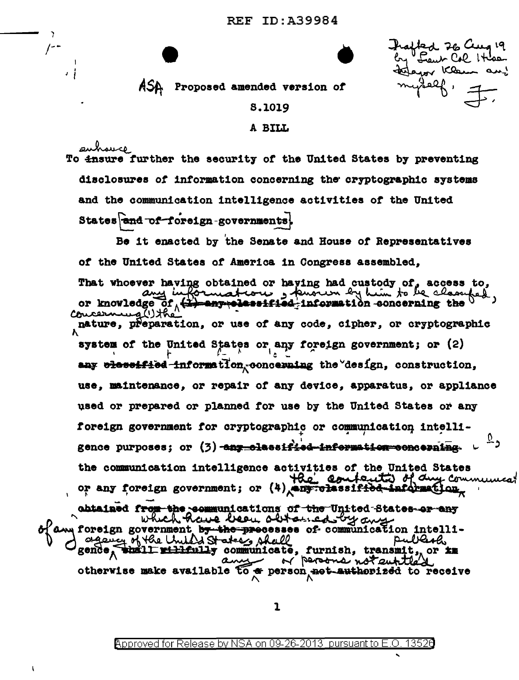led 26 Cura 19 Leur Col It aron Klee ، مهمه

ASA Proposed amended version of

ا د

## 8,1019

## A BILL

auhauce To insure further the security of the United States by preventing disclosures of information concerning the cryptographic systems and the communication intelligence activities of the United States and of foreign-governments!

Be it enacted by the Senate and House of Representatives of the United States of America in Congress assembled. That whoever having obtained or haying had custody of, access to, or knowledge of (#) engripe estated-information concerning the Concerning (1) the nature, preparation, or use of any code, cipher, or cryptographic system of the United States or any foreign government; or (2) any olessified information, concerning the design, construction, use, maintenance, or repair of any device, apparatus, or appliance used or prepared or planned for use by the United States or any foreign government for cryptographic or communication intelligence purposes; or (3) any classified information concerning. the communication intelligence activities of the United States the contents of duy communicat or any foreign government; or (4) engrolassified information, abtained from the communications of the United States or any<br>blam foreign government by the processes of communication intelli-<br>desired of the United States and the processes of communication intelli-<br>gende, the United Sta otherwise make available  $\widetilde{t}$  of person not authorized to receive

1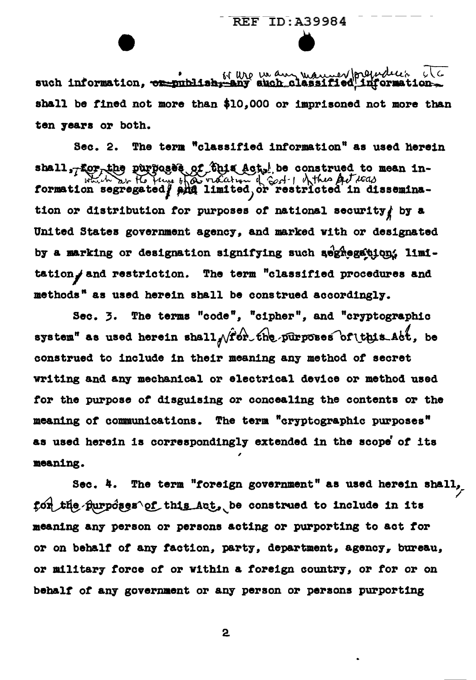such information, or publish, any such classified information shall be fined not more than \$10.000 or imprisoned not more than ten vears or both.

Sec. 2. The term "classified information" as used herein shall, for the purposes of this Act, be construed to mean in-<br>which are Ho the bear order of God I of the Articles tion or distribution for purposes of national security by a United States government agency, and marked with or designated by a marking or designation signifying such segnegation. limi-The term "classified procedures and tation, and restriction. methods" as used herein shall be construed accordingly.

The terms "code", "cipher", and "cryptographic  $Sec. 3.$ system" as used herein shall  $\sqrt{r}$  or the purposes of this act, be construed to include in their meaning any method of secret writing and any mechanical or electrical device or method used for the purpose of disguising or concealing the contents or the meaning of communications. The term "cryptographic purposes" as used herein is correspondingly extended in the scope of its meaning.

The term "foreign government" as used herein shall, Sec. 4. for the purposes of this Act, be construed to include in its meaning any person or persons acting or purporting to act for or on behalf of any faction, party, department, agency, bureau, or military force of or within a foreign country, or for or on behalf of any government or any person or persons purporting

 $\mathbf{2}$